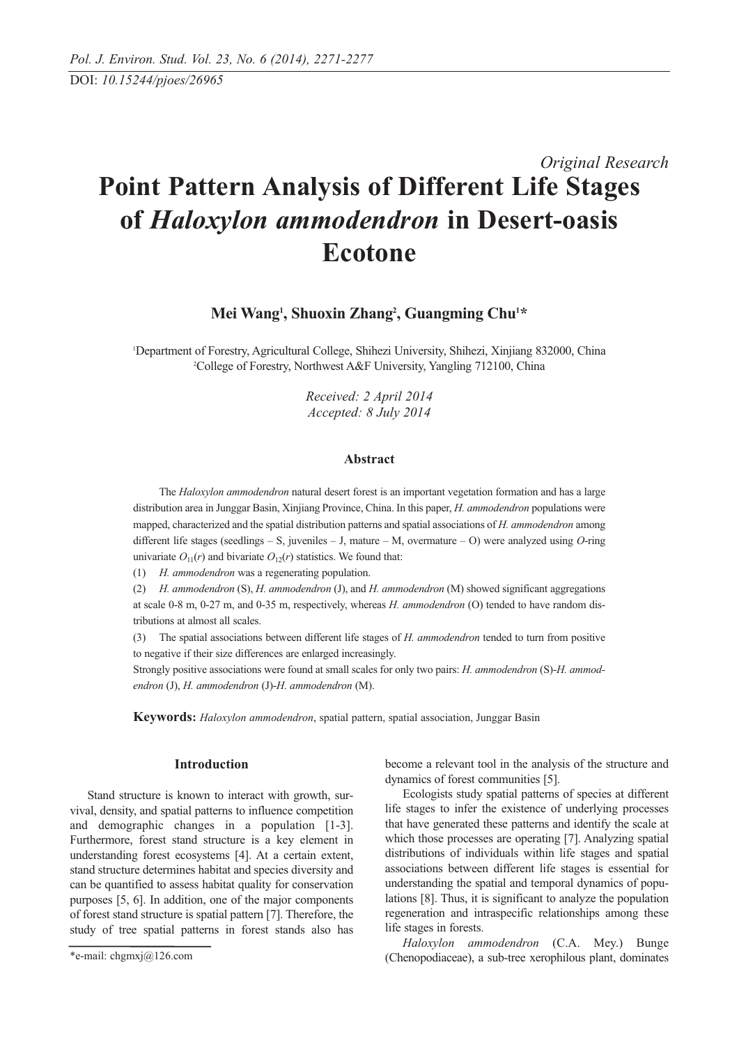# *Original Research* **Point Pattern Analysis of Different Life Stages of** *Haloxylon ammodendron* **in Desert-oasis Ecotone**

Mei Wang<sup>1</sup>, Shuoxin Zhang<sup>2</sup>, Guangming Chu<sup>1\*</sup>

1 Department of Forestry, Agricultural College, Shihezi University, Shihezi, Xinjiang 832000, China 2 College of Forestry, Northwest A&F University, Yangling 712100, China

> *Received: 2 April 2014 Accepted: 8 July 2014*

#### **Abstract**

The *Haloxylon ammodendron* natural desert forest is an important vegetation formation and has a large distribution area in Junggar Basin, Xinjiang Province, China. In this paper, *H. ammodendron* populations were mapped, characterized and the spatial distribution patterns and spatial associations of *H. ammodendron* among different life stages (seedlings – S, juveniles – J, mature – M, overmature – O) were analyzed using *O*-ring univariate  $O_{11}(r)$  and bivariate  $O_{12}(r)$  statistics. We found that:

(1) *H. ammodendron* was a regenerating population.

(2) *H. ammodendron* (S), *H. ammodendron* (J), and *H. ammodendron* (M) showed significant aggregations at scale 0-8 m, 0-27 m, and 0-35 m, respectively, whereas *H. ammodendron* (O) tended to have random distributions at almost all scales.

(3) The spatial associations between different life stages of *H. ammodendron* tended to turn from positive to negative if their size differences are enlarged increasingly.

Strongly positive associations were found at small scales for only two pairs: *H. ammodendron* (S)-*H. ammodendron* (J), *H. ammodendron* (J)-*H. ammodendron* (M).

**Keywords:** *Haloxylon ammodendron*, spatial pattern, spatial association, Junggar Basin

# **Introduction**

Stand structure is known to interact with growth, survival, density, and spatial patterns to influence competition and demographic changes in a population [1-3]. Furthermore, forest stand structure is a key element in understanding forest ecosystems [4]. At a certain extent, stand structure determines habitat and species diversity and can be quantified to assess habitat quality for conservation purposes [5, 6]. In addition, one of the major components of forest stand structure is spatial pattern [7]. Therefore, the study of tree spatial patterns in forest stands also has become a relevant tool in the analysis of the structure and dynamics of forest communities [5].

Ecologists study spatial patterns of species at different life stages to infer the existence of underlying processes that have generated these patterns and identify the scale at which those processes are operating [7]. Analyzing spatial distributions of individuals within life stages and spatial associations between different life stages is essential for understanding the spatial and temporal dynamics of populations [8]. Thus, it is significant to analyze the population regeneration and intraspecific relationships among these life stages in forests.

*Haloxylon ammodendron* (C.A. Mey.) Bunge (Chenopodiaceae), a sub-tree xerophilous plant, dominates

<sup>\*</sup>e-mail: chgmxj@126.com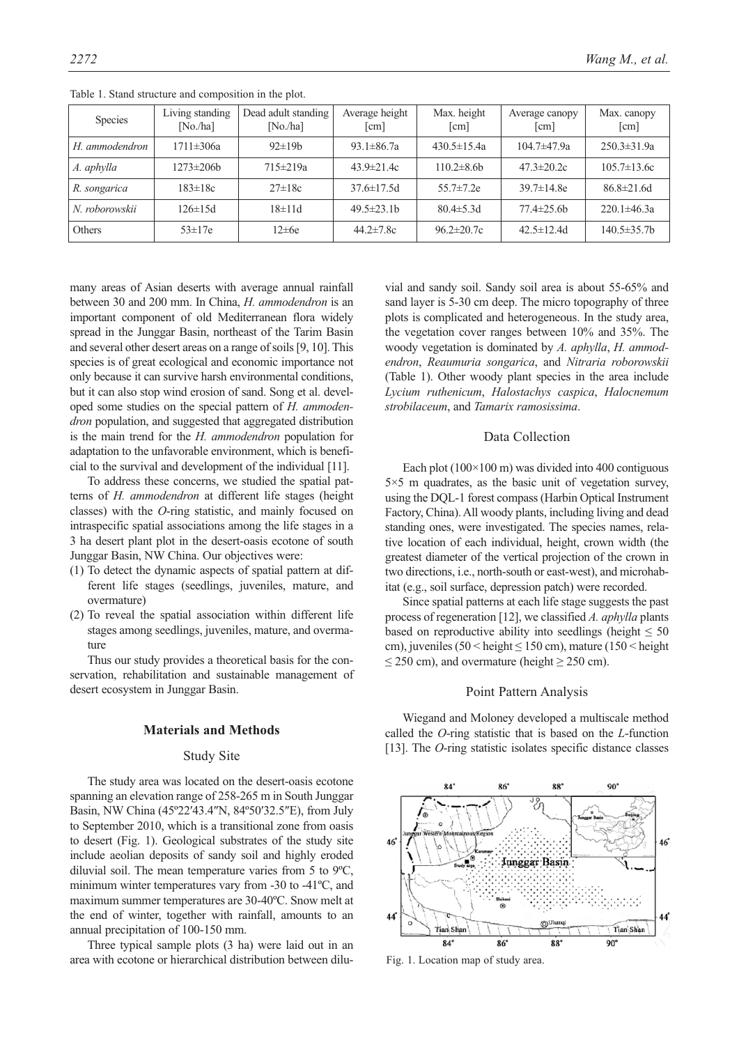| <b>Species</b>     | Living standing<br>[No/ha] | Dead adult standing<br>[No/ha] | Average height<br>$\lceil$ cm $\rceil$ | Max. height<br>$\lceil$ cm $\rceil$ | Average canopy<br> cm | Max. canopy<br>$\lceil$ cm $\rceil$ |
|--------------------|----------------------------|--------------------------------|----------------------------------------|-------------------------------------|-----------------------|-------------------------------------|
| H. ammodendron     | 1711±306a                  | $92\pm19h$                     | 93.1 $\pm$ 86.7a                       | 430.5 $\pm$ 15.4a                   | $104.7 \pm 47.9a$     | $250.3 \pm 31.9a$                   |
| $\vert A.$ aphylla | $1273 \pm 206$ b           | $715 \pm 219a$                 | $43.9 \pm 21.4c$                       | $110.2\pm8.6$                       | $47.3 \pm 20.2c$      | $105.7 \pm 13.6c$                   |
| R. songarica       | $183 \pm 18c$              | $27 \pm 18c$                   | $37.6 \pm 17.5d$                       | $55.7 \pm 7.2$ e                    | $39.7 \pm 14.8$ e     | $86.8 \pm 21.6d$                    |
| N. roborowskii     | $126 \pm 15d$              | $18 \pm 11d$                   | $49.5 \pm 23.1$ b                      | $80.4 \pm 5.3$ d                    | $77.4 \pm 25.6$       | $220.1 \pm 46.3a$                   |
| Others             | $53 \pm 17e$               | $12\pm 6e$                     | $44.2 \pm 7.8c$                        | $96.2 \pm 20.7c$                    | $42.5 \pm 12.4$ d     | 140.5±35.7b                         |

Table 1. Stand structure and composition in the plot.

many areas of Asian deserts with average annual rainfall between 30 and 200 mm. In China, *H. ammodendron* is an important component of old Mediterranean flora widely spread in the Junggar Basin, northeast of the Tarim Basin and several other desert areas on a range of soils [9, 10]. This species is of great ecological and economic importance not only because it can survive harsh environmental conditions, but it can also stop wind erosion of sand. Song et al. developed some studies on the special pattern of *H. ammodendron* population, and suggested that aggregated distribution is the main trend for the *H. ammodendron* population for adaptation to the unfavorable environment, which is beneficial to the survival and development of the individual [11].

To address these concerns, we studied the spatial patterns of *H. ammodendron* at different life stages (height classes) with the *O*-ring statistic, and mainly focused on intraspecific spatial associations among the life stages in a 3 ha desert plant plot in the desert-oasis ecotone of south Junggar Basin, NW China. Our objectives were:

- (1) To detect the dynamic aspects of spatial pattern at different life stages (seedlings, juveniles, mature, and overmature)
- (2) To reveal the spatial association within different life stages among seedlings, juveniles, mature, and overmature

Thus our study provides a theoretical basis for the conservation, rehabilitation and sustainable management of desert ecosystem in Junggar Basin.

## **Materials and Methods**

#### Study Site

The study area was located on the desert-oasis ecotone spanning an elevation range of 258-265 m in South Junggar Basin, NW China (45º22′43.4″N, 84º50′32.5″E), from July to September 2010, which is a transitional zone from oasis to desert (Fig. 1). Geological substrates of the study site include aeolian deposits of sandy soil and highly eroded diluvial soil. The mean temperature varies from 5 to 9ºC, minimum winter temperatures vary from -30 to -41ºC, and maximum summer temperatures are 30-40ºC. Snow melt at the end of winter, together with rainfall, amounts to an annual precipitation of 100-150 mm.

Three typical sample plots (3 ha) were laid out in an area with ecotone or hierarchical distribution between diluvial and sandy soil. Sandy soil area is about 55-65% and sand layer is 5-30 cm deep. The micro topography of three plots is complicated and heterogeneous. In the study area, the vegetation cover ranges between 10% and 35%. The woody vegetation is dominated by *A. aphylla*, *H. ammodendron*, *Reaumuria songarica*, and *Nitraria roborowskii* (Table 1). Other woody plant species in the area include *Lycium ruthenicum*, *Halostachys caspica*, *Halocnemum strobilaceum*, and *Tamarix ramosissima*.

# Data Collection

Each plot (100×100 m) was divided into 400 contiguous  $5 \times 5$  m quadrates, as the basic unit of vegetation survey, using the DQL-1 forest compass (Harbin Optical Instrument Factory, China). All woody plants, including living and dead standing ones, were investigated. The species names, relative location of each individual, height, crown width (the greatest diameter of the vertical projection of the crown in two directions, i.e., north-south or east-west), and microhabitat (e.g., soil surface, depression patch) were recorded.

Since spatial patterns at each life stage suggests the past process of regeneration [12], we classified *A. aphylla* plants based on reproductive ability into seedlings (height  $\leq 50$ cm), juveniles (50 < height  $\leq$  150 cm), mature (150 < height  $\leq$  250 cm), and overmature (height  $\geq$  250 cm).

#### Point Pattern Analysis

Wiegand and Moloney developed a multiscale method called the *O*-ring statistic that is based on the *L*-function [13]. The *O*-ring statistic isolates specific distance classes



Fig. 1. Location map of study area.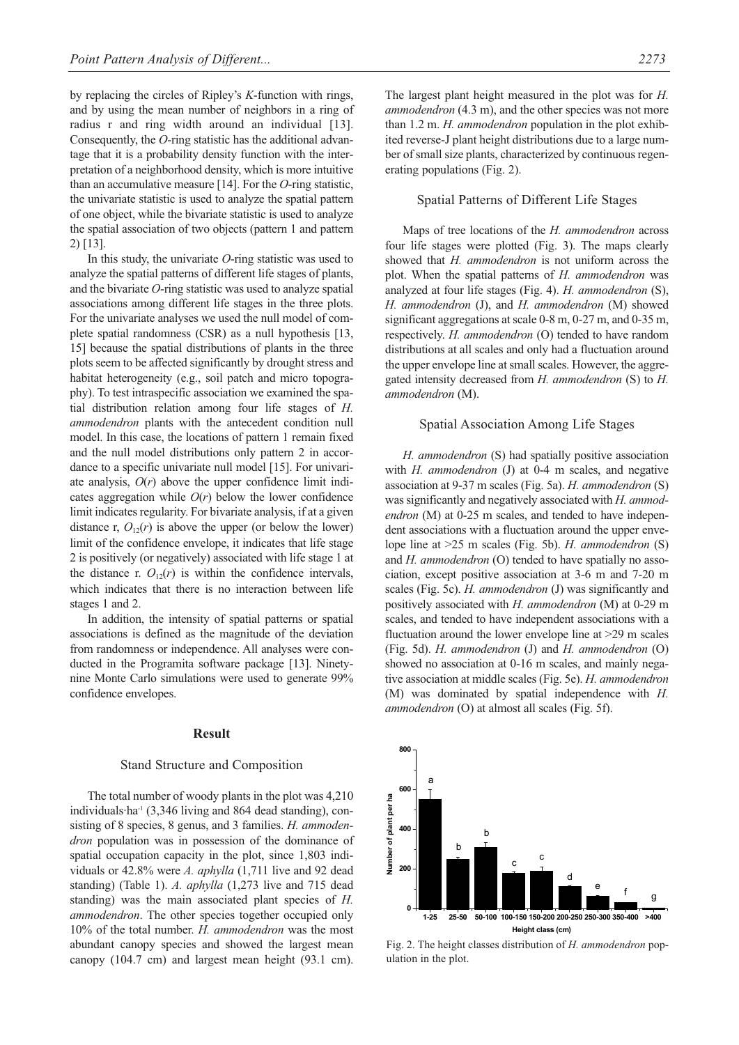by replacing the circles of Ripley's *K*-function with rings, and by using the mean number of neighbors in a ring of radius r and ring width around an individual [13]. Consequently, the *O*-ring statistic has the additional advantage that it is a probability density function with the interpretation of a neighborhood density, which is more intuitive than an accumulative measure [14]. For the *O*-ring statistic, the univariate statistic is used to analyze the spatial pattern of one object, while the bivariate statistic is used to analyze the spatial association of two objects (pattern 1 and pattern 2) [13].

In this study, the univariate *O*-ring statistic was used to analyze the spatial patterns of different life stages of plants, and the bivariate *O*-ring statistic was used to analyze spatial associations among different life stages in the three plots. For the univariate analyses we used the null model of complete spatial randomness (CSR) as a null hypothesis [13, 15] because the spatial distributions of plants in the three plots seem to be affected significantly by drought stress and habitat heterogeneity (e.g., soil patch and micro topography). To test intraspecific association we examined the spatial distribution relation among four life stages of *H. ammodendron* plants with the antecedent condition null model. In this case, the locations of pattern 1 remain fixed and the null model distributions only pattern 2 in accordance to a specific univariate null model [15]. For univariate analysis,  $O(r)$  above the upper confidence limit indicates aggregation while  $O(r)$  below the lower confidence limit indicates regularity. For bivariate analysis, if at a given distance r,  $O_{12}(r)$  is above the upper (or below the lower) limit of the confidence envelope, it indicates that life stage 2 is positively (or negatively) associated with life stage 1 at the distance r.  $O_{12}(r)$  is within the confidence intervals, which indicates that there is no interaction between life stages 1 and 2.

In addition, the intensity of spatial patterns or spatial associations is defined as the magnitude of the deviation from randomness or independence. All analyses were conducted in the Programita software package [13]. Ninetynine Monte Carlo simulations were used to generate 99% confidence envelopes.

#### **Result**

#### Stand Structure and Composition

The total number of woody plants in the plot was 4,210 individuals·ha-1 (3,346 living and 864 dead standing), consisting of 8 species, 8 genus, and 3 families. *H. ammodendron* population was in possession of the dominance of spatial occupation capacity in the plot, since 1,803 individuals or 42.8% were *A. aphylla* (1,711 live and 92 dead standing) (Table 1). *A. aphylla* (1,273 live and 715 dead standing) was the main associated plant species of *H. ammodendron*. The other species together occupied only 10% of the total number. *H. ammodendron* was the most abundant canopy species and showed the largest mean canopy (104.7 cm) and largest mean height (93.1 cm). The largest plant height measured in the plot was for *H. ammodendron* (4.3 m), and the other species was not more than 1.2 m. *H. ammodendron* population in the plot exhibited reverse-J plant height distributions due to a large number of small size plants, characterized by continuous regenerating populations (Fig. 2).

# Spatial Patterns of Different Life Stages

Maps of tree locations of the *H. ammodendron* across four life stages were plotted (Fig. 3). The maps clearly showed that *H. ammodendron* is not uniform across the plot. When the spatial patterns of *H. ammodendron* was analyzed at four life stages (Fig. 4). *H. ammodendron* (S), *H. ammodendron* (J), and *H. ammodendron* (M) showed significant aggregations at scale 0-8 m, 0-27 m, and 0-35 m, respectively. *H. ammodendron* (O) tended to have random distributions at all scales and only had a fluctuation around the upper envelope line at small scales. However, the aggregated intensity decreased from *H. ammodendron* (S) to *H. ammodendron* (M).

#### Spatial Association Among Life Stages

*H. ammodendron* (S) had spatially positive association with *H. ammodendron* (J) at 0-4 m scales, and negative association at 9-37 m scales (Fig. 5a). *H. ammodendron* (S) was significantly and negatively associated with *H. ammodendron* (M) at 0-25 m scales, and tended to have independent associations with a fluctuation around the upper envelope line at >25 m scales (Fig. 5b). *H. ammodendron* (S) and *H. ammodendron* (O) tended to have spatially no association, except positive association at 3-6 m and 7-20 m scales (Fig. 5c). *H. ammodendron* (J) was significantly and positively associated with *H. ammodendron* (M) at 0-29 m scales, and tended to have independent associations with a fluctuation around the lower envelope line at >29 m scales (Fig. 5d). *H. ammodendron* (J) and *H. ammodendron* (O) showed no association at 0-16 m scales, and mainly negative association at middle scales (Fig. 5e). *H. ammodendron* (M) was dominated by spatial independence with *H. ammodendron* (O) at almost all scales (Fig. 5f).



Fig. 2. The height classes distribution of *H. ammodendron* population in the plot.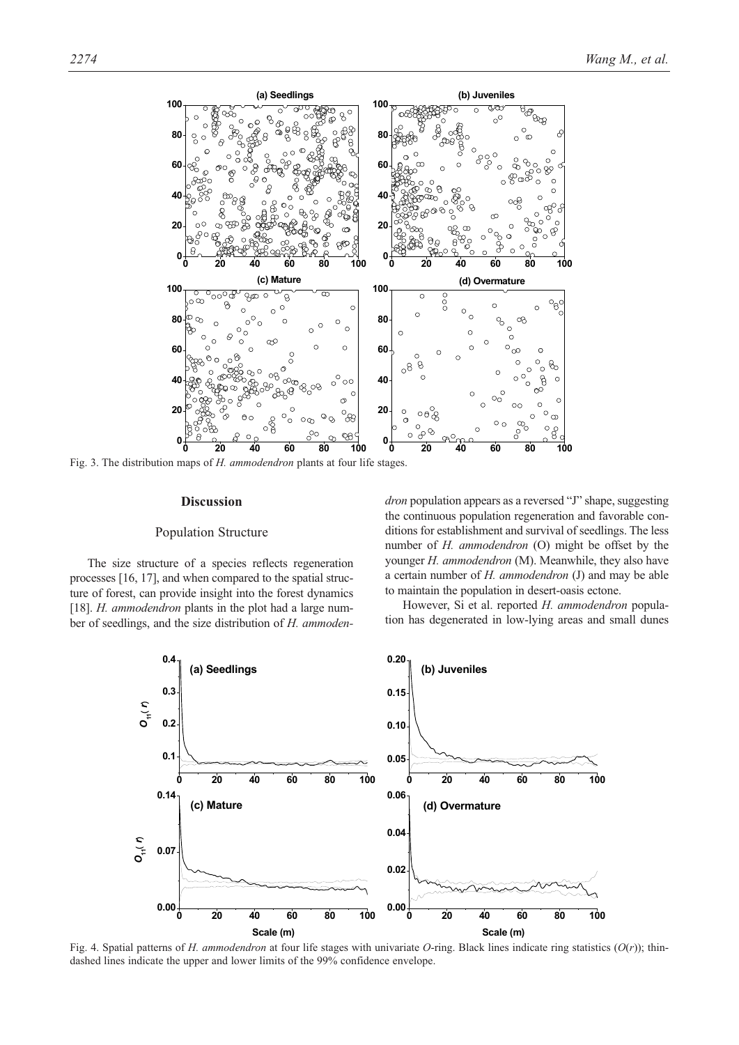

Fig. 3. The distribution maps of *H. ammodendron* plants at four life stages.

## **Discussion**

#### Population Structure

The size structure of a species reflects regeneration processes [16, 17], and when compared to the spatial structure of forest, can provide insight into the forest dynamics [18]. *H. ammodendron* plants in the plot had a large number of seedlings, and the size distribution of *H. ammoden-* *dron* population appears as a reversed "J" shape, suggesting the continuous population regeneration and favorable conditions for establishment and survival of seedlings. The less number of *H. ammodendron* (O) might be offset by the younger *H. ammodendron* (M). Meanwhile, they also have a certain number of *H. ammodendron* (J) and may be able to maintain the population in desert-oasis ectone.

However, Si et al. reported *H. ammodendron* population has degenerated in low-lying areas and small dunes



Fig. 4. Spatial patterns of *H. ammodendron* at four life stages with univariate *O*-ring. Black lines indicate ring statistics (*O*(*r*)); thindashed lines indicate the upper and lower limits of the 99% confidence envelope.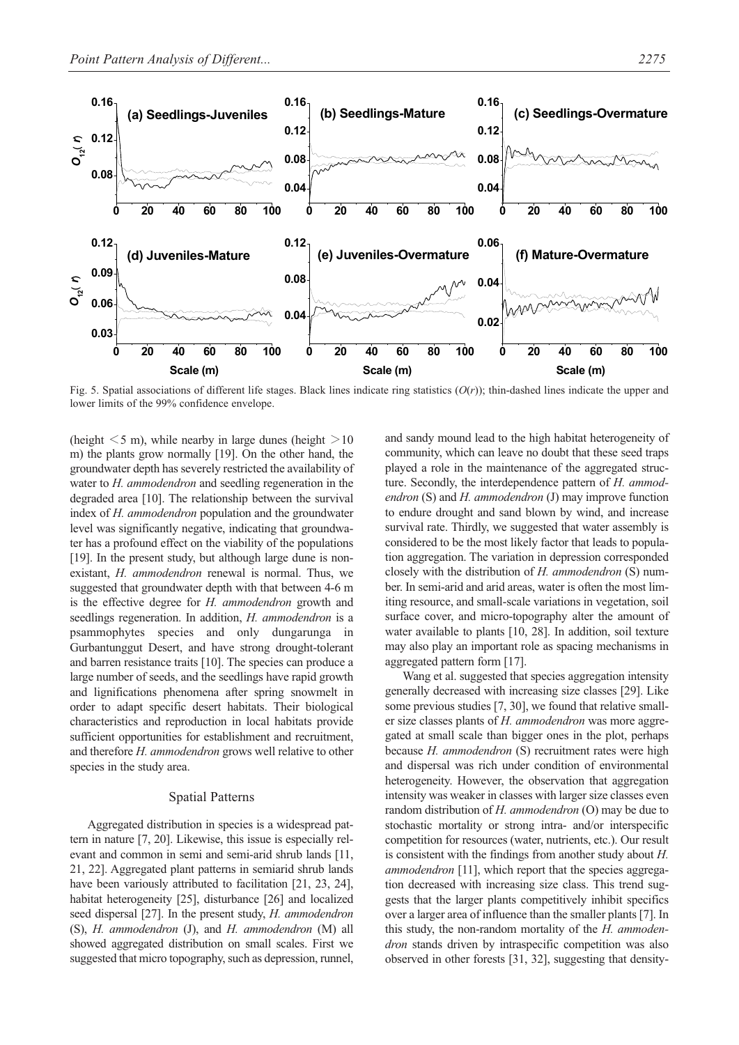

Fig. 5. Spatial associations of different life stages. Black lines indicate ring statistics  $(O(r))$ ; thin-dashed lines indicate the upper and lower limits of the 99% confidence envelope.

(height  $\leq$  5 m), while nearby in large dunes (height  $>$  10 m) the plants grow normally [19]. On the other hand, the groundwater depth has severely restricted the availability of water to *H. ammodendron* and seedling regeneration in the degraded area [10]. The relationship between the survival index of *H. ammodendron* population and the groundwater level was significantly negative, indicating that groundwater has a profound effect on the viability of the populations [19]. In the present study, but although large dune is nonexistant, *H. ammodendron* renewal is normal. Thus, we suggested that groundwater depth with that between 4-6 m is the effective degree for *H. ammodendron* growth and seedlings regeneration. In addition, *H. ammodendron* is a psammophytes species and only dungarunga in Gurbantunggut Desert, and have strong drought-tolerant and barren resistance traits [10]. The species can produce a large number of seeds, and the seedlings have rapid growth and lignifications phenomena after spring snowmelt in order to adapt specific desert habitats. Their biological characteristics and reproduction in local habitats provide sufficient opportunities for establishment and recruitment, and therefore *H. ammodendron* grows well relative to other species in the study area.

## Spatial Patterns

Aggregated distribution in species is a widespread pattern in nature [7, 20]. Likewise, this issue is especially relevant and common in semi and semi-arid shrub lands [11, 21, 22]. Aggregated plant patterns in semiarid shrub lands have been variously attributed to facilitation [21, 23, 24], habitat heterogeneity [25], disturbance [26] and localized seed dispersal [27]. In the present study, *H. ammodendron* (S), *H. ammodendron* (J), and *H. ammodendron* (M) all showed aggregated distribution on small scales. First we suggested that micro topography, such as depression, runnel, and sandy mound lead to the high habitat heterogeneity of community, which can leave no doubt that these seed traps played a role in the maintenance of the aggregated structure. Secondly, the interdependence pattern of *H. ammodendron* (S) and *H. ammodendron* (J) may improve function to endure drought and sand blown by wind, and increase survival rate. Thirdly, we suggested that water assembly is considered to be the most likely factor that leads to population aggregation. The variation in depression corresponded closely with the distribution of *H. ammodendron* (S) number. In semi-arid and arid areas, water is often the most limiting resource, and small-scale variations in vegetation, soil surface cover, and micro-topography alter the amount of water available to plants [10, 28]. In addition, soil texture may also play an important role as spacing mechanisms in aggregated pattern form [17].

Wang et al. suggested that species aggregation intensity generally decreased with increasing size classes [29]. Like some previous studies [7, 30], we found that relative smaller size classes plants of *H. ammodendron* was more aggregated at small scale than bigger ones in the plot, perhaps because *H. ammodendron* (S) recruitment rates were high and dispersal was rich under condition of environmental heterogeneity. However, the observation that aggregation intensity was weaker in classes with larger size classes even random distribution of *H. ammodendron* (O) may be due to stochastic mortality or strong intra- and/or interspecific competition for resources (water, nutrients, etc.). Our result is consistent with the findings from another study about *H. ammodendron* [11], which report that the species aggregation decreased with increasing size class. This trend suggests that the larger plants competitively inhibit specifics over a larger area of influence than the smaller plants [7]. In this study, the non-random mortality of the *H. ammodendron* stands driven by intraspecific competition was also observed in other forests [31, 32], suggesting that density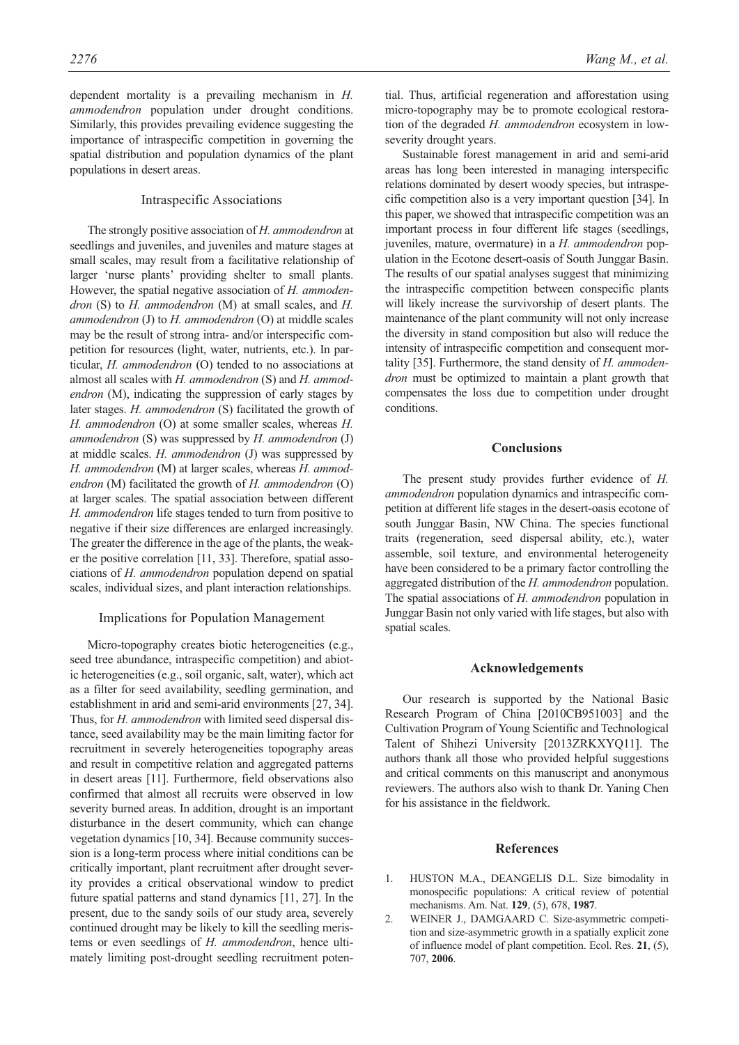dependent mortality is a prevailing mechanism in *H. ammodendron* population under drought conditions. Similarly, this provides prevailing evidence suggesting the importance of intraspecific competition in governing the spatial distribution and population dynamics of the plant populations in desert areas.

## Intraspecific Associations

The strongly positive association of *H. ammodendron* at seedlings and juveniles, and juveniles and mature stages at small scales, may result from a facilitative relationship of larger 'nurse plants' providing shelter to small plants. However, the spatial negative association of *H. ammodendron* (S) to *H. ammodendron* (M) at small scales, and *H. ammodendron* (J) to *H. ammodendron* (O) at middle scales may be the result of strong intra- and/or interspecific competition for resources (light, water, nutrients, etc.). In particular, *H. ammodendron* (O) tended to no associations at almost all scales with *H. ammodendron* (S) and *H. ammodendron* (M), indicating the suppression of early stages by later stages. *H. ammodendron* (S) facilitated the growth of *H. ammodendron* (O) at some smaller scales, whereas *H. ammodendron* (S) was suppressed by *H. ammodendron* (J) at middle scales. *H. ammodendron* (J) was suppressed by *H. ammodendron* (M) at larger scales, whereas *H. ammodendron* (M) facilitated the growth of *H. ammodendron* (O) at larger scales. The spatial association between different *H. ammodendron* life stages tended to turn from positive to negative if their size differences are enlarged increasingly. The greater the difference in the age of the plants, the weaker the positive correlation [11, 33]. Therefore, spatial associations of *H. ammodendron* population depend on spatial scales, individual sizes, and plant interaction relationships.

#### Implications for Population Management

Micro-topography creates biotic heterogeneities (e.g., seed tree abundance, intraspecific competition) and abiotic heterogeneities (e.g., soil organic, salt, water), which act as a filter for seed availability, seedling germination, and establishment in arid and semi-arid environments [27, 34]. Thus, for *H. ammodendron* with limited seed dispersal distance, seed availability may be the main limiting factor for recruitment in severely heterogeneities topography areas and result in competitive relation and aggregated patterns in desert areas [11]. Furthermore, field observations also confirmed that almost all recruits were observed in low severity burned areas. In addition, drought is an important disturbance in the desert community, which can change vegetation dynamics [10, 34]. Because community succession is a long-term process where initial conditions can be critically important, plant recruitment after drought severity provides a critical observational window to predict future spatial patterns and stand dynamics [11, 27]. In the present, due to the sandy soils of our study area, severely continued drought may be likely to kill the seedling meristems or even seedlings of *H. ammodendron*, hence ultimately limiting post-drought seedling recruitment potential. Thus, artificial regeneration and afforestation using micro-topography may be to promote ecological restoration of the degraded *H. ammodendron* ecosystem in lowseverity drought years.

Sustainable forest management in arid and semi-arid areas has long been interested in managing interspecific relations dominated by desert woody species, but intraspecific competition also is a very important question [34]. In this paper, we showed that intraspecific competition was an important process in four different life stages (seedlings, juveniles, mature, overmature) in a *H. ammodendron* population in the Ecotone desert-oasis of South Junggar Basin. The results of our spatial analyses suggest that minimizing the intraspecific competition between conspecific plants will likely increase the survivorship of desert plants. The maintenance of the plant community will not only increase the diversity in stand composition but also will reduce the intensity of intraspecific competition and consequent mortality [35]. Furthermore, the stand density of *H. ammodendron* must be optimized to maintain a plant growth that compensates the loss due to competition under drought conditions.

## **Conclusions**

The present study provides further evidence of *H. ammodendron* population dynamics and intraspecific competition at different life stages in the desert-oasis ecotone of south Junggar Basin, NW China. The species functional traits (regeneration, seed dispersal ability, etc.), water assemble, soil texture, and environmental heterogeneity have been considered to be a primary factor controlling the aggregated distribution of the *H. ammodendron* population. The spatial associations of *H. ammodendron* population in Junggar Basin not only varied with life stages, but also with spatial scales.

### **Acknowledgements**

Our research is supported by the National Basic Research Program of China [2010CB951003] and the Cultivation Program of Young Scientific and Technological Talent of Shihezi University [2013ZRKXYQ11]. The authors thank all those who provided helpful suggestions and critical comments on this manuscript and anonymous reviewers. The authors also wish to thank Dr. Yaning Chen for his assistance in the fieldwork.

# **References**

- 1. HUSTON M.A., DEANGELIS D.L. Size bimodality in monospecific populations: A critical review of potential mechanisms. Am. Nat. **129**, (5), 678, **1987**.
- 2. WEINER J., DAMGAARD C. Size-asymmetric competition and size-asymmetric growth in a spatially explicit zone of influence model of plant competition. Ecol. Res. **21**, (5), 707, **2006**.